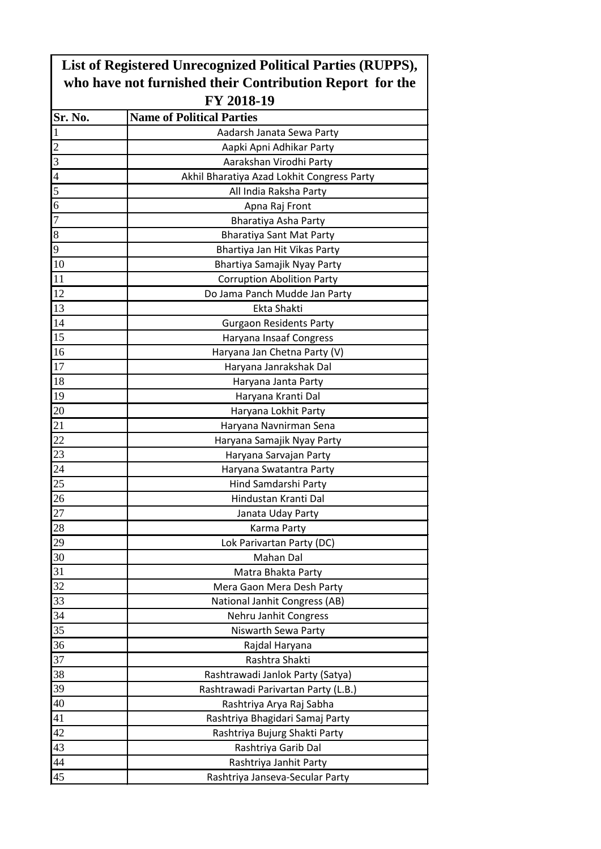| List of Registered Unrecognized Political Parties (RUPPS),<br>who have not furnished their Contribution Report for the<br>FY 2018-19 |                                            |  |              |                                  |
|--------------------------------------------------------------------------------------------------------------------------------------|--------------------------------------------|--|--------------|----------------------------------|
|                                                                                                                                      |                                            |  | Sr. No.      | <b>Name of Political Parties</b> |
|                                                                                                                                      |                                            |  | $\mathbf{1}$ | Aadarsh Janata Sewa Party        |
| $\overline{2}$                                                                                                                       | Aapki Apni Adhikar Party                   |  |              |                                  |
| $\overline{3}$                                                                                                                       | Aarakshan Virodhi Party                    |  |              |                                  |
| $\overline{4}$                                                                                                                       | Akhil Bharatiya Azad Lokhit Congress Party |  |              |                                  |
| 5                                                                                                                                    | All India Raksha Party                     |  |              |                                  |
| 6                                                                                                                                    | Apna Raj Front                             |  |              |                                  |
| $\overline{7}$                                                                                                                       | Bharatiya Asha Party                       |  |              |                                  |
| 8                                                                                                                                    | <b>Bharatiya Sant Mat Party</b>            |  |              |                                  |
| 9                                                                                                                                    | Bhartiya Jan Hit Vikas Party               |  |              |                                  |
| 10                                                                                                                                   | Bhartiya Samajik Nyay Party                |  |              |                                  |
| 11                                                                                                                                   | <b>Corruption Abolition Party</b>          |  |              |                                  |
| 12                                                                                                                                   | Do Jama Panch Mudde Jan Party              |  |              |                                  |
| 13                                                                                                                                   | Ekta Shakti                                |  |              |                                  |
| 14                                                                                                                                   | <b>Gurgaon Residents Party</b>             |  |              |                                  |
| 15                                                                                                                                   | Haryana Insaaf Congress                    |  |              |                                  |
| 16                                                                                                                                   | Haryana Jan Chetna Party (V)               |  |              |                                  |
| 17                                                                                                                                   | Haryana Janrakshak Dal                     |  |              |                                  |
| 18                                                                                                                                   | Haryana Janta Party                        |  |              |                                  |
| 19                                                                                                                                   | Haryana Kranti Dal                         |  |              |                                  |
| 20                                                                                                                                   |                                            |  |              |                                  |
| 21                                                                                                                                   | Haryana Lokhit Party                       |  |              |                                  |
| 22                                                                                                                                   | Haryana Navnirman Sena                     |  |              |                                  |
| 23                                                                                                                                   | Haryana Samajik Nyay Party                 |  |              |                                  |
|                                                                                                                                      | Haryana Sarvajan Party                     |  |              |                                  |
| 24                                                                                                                                   | Haryana Swatantra Party                    |  |              |                                  |
| 25<br>26                                                                                                                             | Hind Samdarshi Party                       |  |              |                                  |
|                                                                                                                                      | Hindustan Kranti Dal                       |  |              |                                  |
| 27                                                                                                                                   | Janata Uday Party                          |  |              |                                  |
| 28                                                                                                                                   | Karma Party                                |  |              |                                  |
| 29                                                                                                                                   | Lok Parivartan Party (DC)                  |  |              |                                  |
| 30                                                                                                                                   | Mahan Dal                                  |  |              |                                  |
| 31                                                                                                                                   | Matra Bhakta Party                         |  |              |                                  |
| 32                                                                                                                                   | Mera Gaon Mera Desh Party                  |  |              |                                  |
| 33                                                                                                                                   | National Janhit Congress (AB)              |  |              |                                  |
| 34                                                                                                                                   | Nehru Janhit Congress                      |  |              |                                  |
| 35                                                                                                                                   | Niswarth Sewa Party                        |  |              |                                  |
| 36                                                                                                                                   | Rajdal Haryana                             |  |              |                                  |
| 37                                                                                                                                   | Rashtra Shakti                             |  |              |                                  |
| 38                                                                                                                                   | Rashtrawadi Janlok Party (Satya)           |  |              |                                  |
| 39                                                                                                                                   | Rashtrawadi Parivartan Party (L.B.)        |  |              |                                  |
| 40                                                                                                                                   | Rashtriya Arya Raj Sabha                   |  |              |                                  |
| 41                                                                                                                                   | Rashtriya Bhagidari Samaj Party            |  |              |                                  |
| 42                                                                                                                                   | Rashtriya Bujurg Shakti Party              |  |              |                                  |
| 43                                                                                                                                   | Rashtriya Garib Dal                        |  |              |                                  |
| 44                                                                                                                                   | Rashtriya Janhit Party                     |  |              |                                  |
| 45                                                                                                                                   | Rashtriya Janseva-Secular Party            |  |              |                                  |